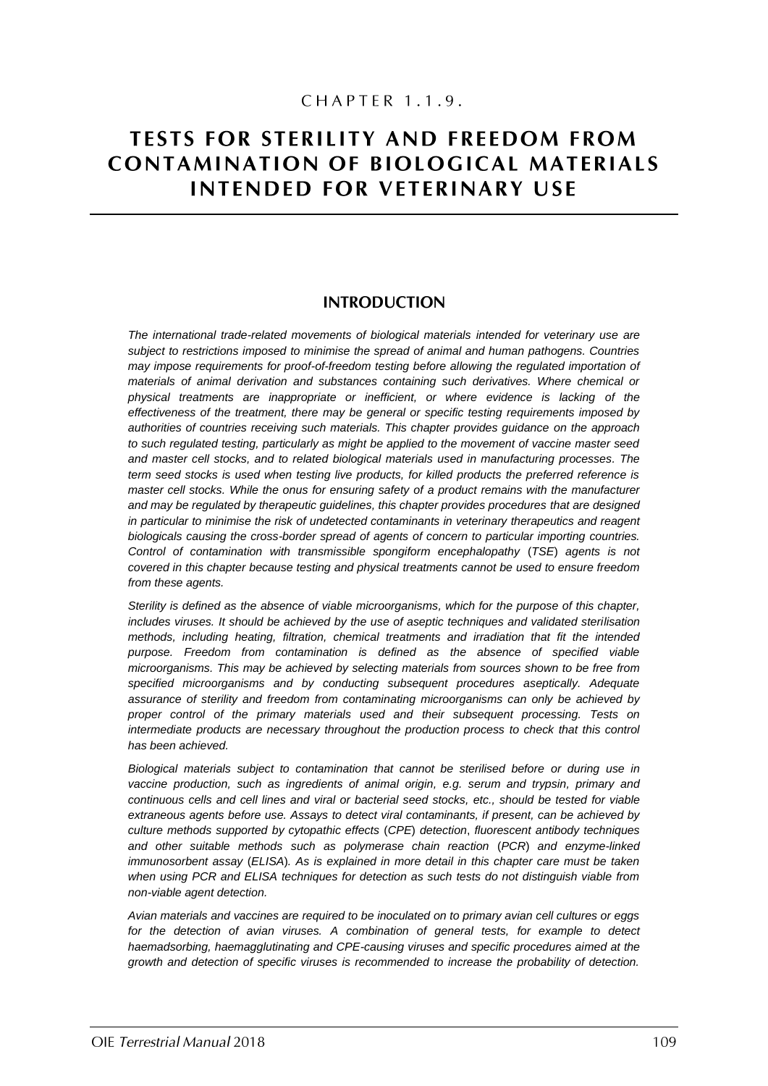## CHAPTER 1.1.9.

# **TESTS FOR STERILITY AND FREEDOM FROM CONTAMINATION OF BIOLOGICAL MATERIALS INTENDED FOR VETERINARY USE**

### **INTRODUCTION**

*The international trade-related movements of biological materials intended for veterinary use are subject to restrictions imposed to minimise the spread of animal and human pathogens. Countries may impose requirements for proof-of-freedom testing before allowing the regulated importation of materials of animal derivation and substances containing such derivatives. Where chemical or physical treatments are inappropriate or inefficient, or where evidence is lacking of the effectiveness of the treatment, there may be general or specific testing requirements imposed by authorities of countries receiving such materials. This chapter provides guidance on the approach to such regulated testing, particularly as might be applied to the movement of vaccine master seed and master cell stocks, and to related biological materials used in manufacturing processes. The term seed stocks is used when testing live products, for killed products the preferred reference is master cell stocks. While the onus for ensuring safety of a product remains with the manufacturer*  and may be regulated by therapeutic guidelines, this chapter provides procedures that are designed *in particular to minimise the risk of undetected contaminants in veterinary therapeutics and reagent biologicals causing the cross-border spread of agents of concern to particular importing countries. Control of contamination with transmissible spongiform encephalopathy* (*TSE*) *agents is not covered in this chapter because testing and physical treatments cannot be used to ensure freedom from these agents.*

*Sterility is defined as the absence of viable microorganisms, which for the purpose of this chapter, includes viruses. It should be achieved by the use of aseptic techniques and validated sterilisation methods, including heating, filtration, chemical treatments and irradiation that fit the intended purpose. Freedom from contamination is defined as the absence of specified viable microorganisms. This may be achieved by selecting materials from sources shown to be free from specified microorganisms and by conducting subsequent procedures aseptically. Adequate assurance of sterility and freedom from contaminating microorganisms can only be achieved by proper control of the primary materials used and their subsequent processing. Tests on intermediate products are necessary throughout the production process to check that this control has been achieved.*

*Biological materials subject to contamination that cannot be sterilised before or during use in vaccine production, such as ingredients of animal origin, e.g. serum and trypsin, primary and continuous cells and cell lines and viral or bacterial seed stocks, etc., should be tested for viable extraneous agents before use. Assays to detect viral contaminants, if present, can be achieved by culture methods supported by cytopathic effects* (*CPE*) *detection*, *fluorescent antibody techniques and other suitable methods such as polymerase chain reaction* (*PCR*) *and enzyme-linked immunosorbent assay* (*ELISA*)*. As is explained in more detail in this chapter care must be taken when using PCR and ELISA techniques for detection as such tests do not distinguish viable from non-viable agent detection.* 

*Avian materials and vaccines are required to be inoculated on to primary avian cell cultures or eggs for the detection of avian viruses. A combination of general tests, for example to detect haemadsorbing, haemagglutinating and CPE-causing viruses and specific procedures aimed at the growth and detection of specific viruses is recommended to increase the probability of detection.*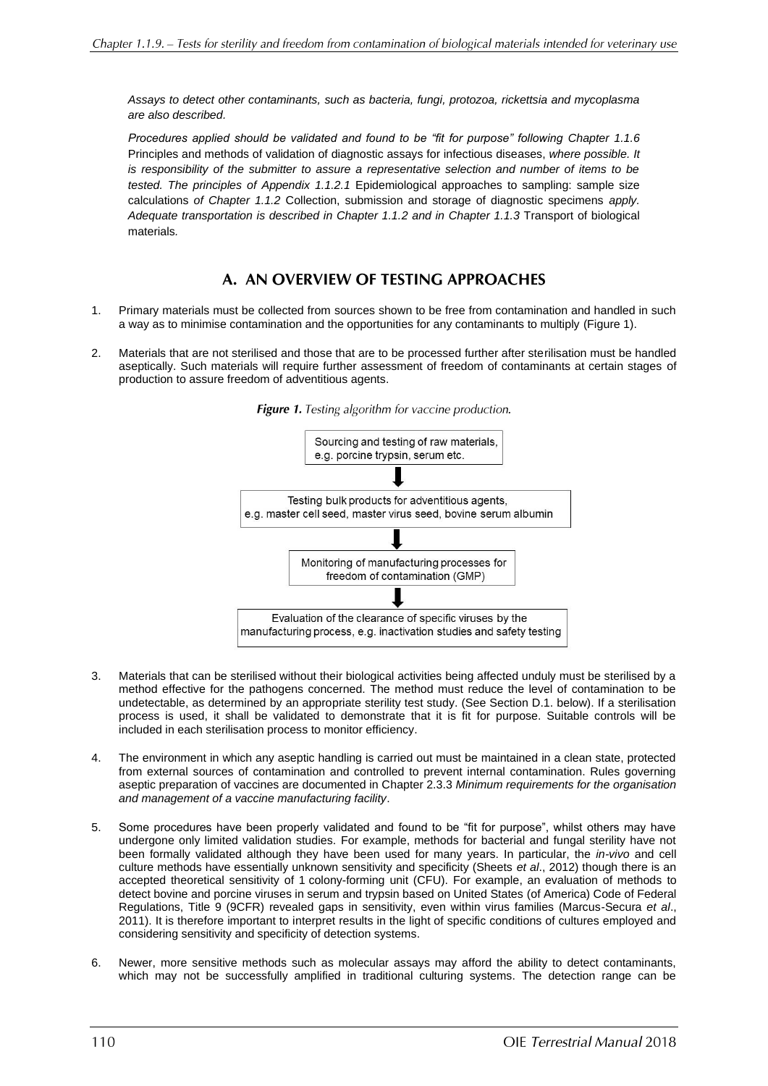*Assays to detect other contaminants, such as bacteria, fungi, protozoa, rickettsia and mycoplasma are also described.*

*Procedures applied should be validated and found to be "fit for purpose" following Chapter 1.1.6* Principles and methods of validation of diagnostic assays for infectious diseases, *where possible. It is responsibility of the submitter to assure a representative selection and number of items to be tested. The principles of Appendix 1.1.2.1* Epidemiological approaches to sampling: sample size calculations *of Chapter 1.1.2* Collection, submission and storage of diagnostic specimens *apply. Adequate transportation is described in Chapter 1.1.2 and in Chapter 1.1.3* Transport of biological materials*.*

## A. AN OVERVIEW OF TESTING APPROACHES

- 1. Primary materials must be collected from sources shown to be free from contamination and handled in such a way as to minimise contamination and the opportunities for any contaminants to multiply (Figure 1).
- 2. Materials that are not sterilised and those that are to be processed further after sterilisation must be handled aseptically. Such materials will require further assessment of freedom of contaminants at certain stages of production to assure freedom of adventitious agents.



Figure 1. Testing algorithm for vaccine production.

- 3. Materials that can be sterilised without their biological activities being affected unduly must be sterilised by a method effective for the pathogens concerned. The method must reduce the level of contamination to be undetectable, as determined by an appropriate sterility test study. (See Section D.1. below). If a sterilisation process is used, it shall be validated to demonstrate that it is fit for purpose. Suitable controls will be included in each sterilisation process to monitor efficiency.
- 4. The environment in which any aseptic handling is carried out must be maintained in a clean state, protected from external sources of contamination and controlled to prevent internal contamination. Rules governing aseptic preparation of vaccines are documented in Chapter 2.3.3 *Minimum requirements for the organisation and management of a vaccine manufacturing facility*.
- 5. Some procedures have been properly validated and found to be "fit for purpose", whilst others may have undergone only limited validation studies. For example, methods for bacterial and fungal sterility have not been formally validated although they have been used for many years. In particular, the *in-vivo* and cell culture methods have essentially unknown sensitivity and specificity (Sheets *et al*., 2012) though there is an accepted theoretical sensitivity of 1 colony-forming unit (CFU). For example, an evaluation of methods to detect bovine and porcine viruses in serum and trypsin based on United States (of America) Code of Federal Regulations, Title 9 (9CFR) revealed gaps in sensitivity, even within virus families (Marcus-Secura *et al*., 2011). It is therefore important to interpret results in the light of specific conditions of cultures employed and considering sensitivity and specificity of detection systems.
- 6. Newer, more sensitive methods such as molecular assays may afford the ability to detect contaminants, which may not be successfully amplified in traditional culturing systems. The detection range can be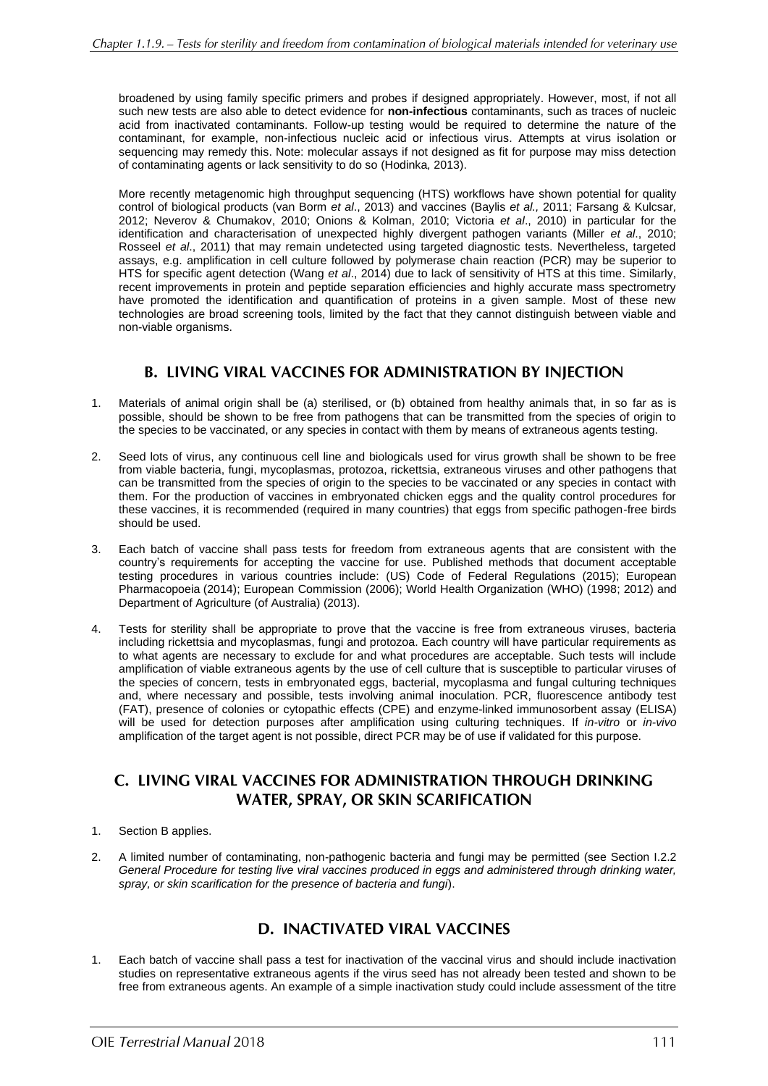broadened by using family specific primers and probes if designed appropriately. However, most, if not all such new tests are also able to detect evidence for **non-infectious** contaminants, such as traces of nucleic acid from inactivated contaminants. Follow-up testing would be required to determine the nature of the contaminant, for example, non-infectious nucleic acid or infectious virus. Attempts at virus isolation or sequencing may remedy this. Note: molecular assays if not designed as fit for purpose may miss detection of contaminating agents or lack sensitivity to do so (Hodinka*,* 2013).

More recently metagenomic high throughput sequencing (HTS) workflows have shown potential for quality control of biological products (van Borm *et al*., 2013) and vaccines (Baylis *et al.,* 2011; Farsang & Kulcsar*,* 2012; Neverov & Chumakov, 2010; Onions & Kolman, 2010; Victoria *et al*., 2010) in particular for the identification and characterisation of unexpected highly divergent pathogen variants (Miller *et al*., 2010; Rosseel *et al*., 2011) that may remain undetected using targeted diagnostic tests. Nevertheless, targeted assays, e.g. amplification in cell culture followed by polymerase chain reaction (PCR) may be superior to HTS for specific agent detection (Wang *et al*., 2014) due to lack of sensitivity of HTS at this time. Similarly, recent improvements in protein and peptide separation efficiencies and highly accurate mass spectrometry have promoted the identification and quantification of proteins in a given sample. Most of these new technologies are broad screening tools, limited by the fact that they cannot distinguish between viable and non-viable organisms.

## **B. LIVING VIRAL VACCINES FOR ADMINISTRATION BY INJECTION**

- 1. Materials of animal origin shall be (a) sterilised, or (b) obtained from healthy animals that, in so far as is possible, should be shown to be free from pathogens that can be transmitted from the species of origin to the species to be vaccinated, or any species in contact with them by means of extraneous agents testing.
- 2. Seed lots of virus, any continuous cell line and biologicals used for virus growth shall be shown to be free from viable bacteria, fungi, mycoplasmas, protozoa, rickettsia, extraneous viruses and other pathogens that can be transmitted from the species of origin to the species to be vaccinated or any species in contact with them. For the production of vaccines in embryonated chicken eggs and the quality control procedures for these vaccines, it is recommended (required in many countries) that eggs from specific pathogen-free birds should be used.
- 3. Each batch of vaccine shall pass tests for freedom from extraneous agents that are consistent with the country's requirements for accepting the vaccine for use. Published methods that document acceptable testing procedures in various countries include: (US) Code of Federal Regulations (2015); European Pharmacopoeia (2014); European Commission (2006); World Health Organization (WHO) (1998; 2012) and Department of Agriculture (of Australia) (2013).
- 4. Tests for sterility shall be appropriate to prove that the vaccine is free from extraneous viruses, bacteria including rickettsia and mycoplasmas, fungi and protozoa. Each country will have particular requirements as to what agents are necessary to exclude for and what procedures are acceptable. Such tests will include amplification of viable extraneous agents by the use of cell culture that is susceptible to particular viruses of the species of concern, tests in embryonated eggs, bacterial, mycoplasma and fungal culturing techniques and, where necessary and possible, tests involving animal inoculation. PCR, fluorescence antibody test (FAT), presence of colonies or cytopathic effects (CPE) and enzyme-linked immunosorbent assay (ELISA) will be used for detection purposes after amplification using culturing techniques. If *in-vitro* or *in-vivo* amplification of the target agent is not possible, direct PCR may be of use if validated for this purpose.

## C. LIVING VIRAL VACCINES FOR ADMINISTRATION THROUGH DRINKING **WATER, SPRAY, OR SKIN SCARIFICATION**

- 1. Section B applies.
- 2. A limited number of contaminating, non-pathogenic bacteria and fungi may be permitted (see Section I.2.2 *General Procedure for testing live viral vaccines produced in eggs and administered through drinking water, spray, or skin scarification for the presence of bacteria and fungi*).

## **D. INACTIVATED VIRAL VACCINES**

1. Each batch of vaccine shall pass a test for inactivation of the vaccinal virus and should include inactivation studies on representative extraneous agents if the virus seed has not already been tested and shown to be free from extraneous agents. An example of a simple inactivation study could include assessment of the titre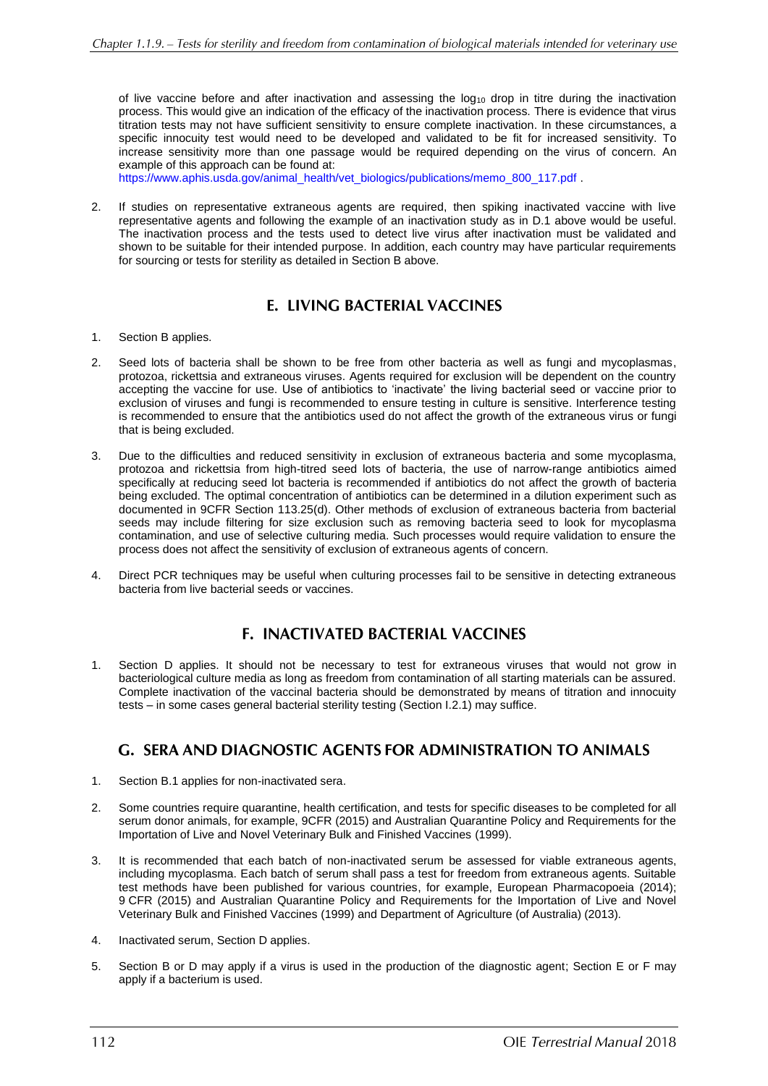of live vaccine before and after inactivation and assessing the log<sup>10</sup> drop in titre during the inactivation process. This would give an indication of the efficacy of the inactivation process. There is evidence that virus titration tests may not have sufficient sensitivity to ensure complete inactivation. In these circumstances, a specific innocuity test would need to be developed and validated to be fit for increased sensitivity. To increase sensitivity more than one passage would be required depending on the virus of concern. An example of this approach can be found at:

[https://www.aphis.usda.gov/animal\\_health/vet\\_biologics/publications/memo\\_800\\_117.pdf](https://www.aphis.usda.gov/animal_health/vet_biologics/publications/memo_800_117.pdf) .

2. If studies on representative extraneous agents are required, then spiking inactivated vaccine with live representative agents and following the example of an inactivation study as in D.1 above would be useful. The inactivation process and the tests used to detect live virus after inactivation must be validated and shown to be suitable for their intended purpose. In addition, each country may have particular requirements for sourcing or tests for sterility as detailed in Section B above.

## **E. LIVING BACTERIAL VACCINES**

- 1. Section B applies.
- 2. Seed lots of bacteria shall be shown to be free from other bacteria as well as fungi and mycoplasmas, protozoa, rickettsia and extraneous viruses. Agents required for exclusion will be dependent on the country accepting the vaccine for use. Use of antibiotics to 'inactivate' the living bacterial seed or vaccine prior to exclusion of viruses and fungi is recommended to ensure testing in culture is sensitive. Interference testing is recommended to ensure that the antibiotics used do not affect the growth of the extraneous virus or fungi that is being excluded.
- 3. Due to the difficulties and reduced sensitivity in exclusion of extraneous bacteria and some mycoplasma, protozoa and rickettsia from high-titred seed lots of bacteria, the use of narrow-range antibiotics aimed specifically at reducing seed lot bacteria is recommended if antibiotics do not affect the growth of bacteria being excluded. The optimal concentration of antibiotics can be determined in a dilution experiment such as documented in 9CFR Section 113.25(d). Other methods of exclusion of extraneous bacteria from bacterial seeds may include filtering for size exclusion such as removing bacteria seed to look for mycoplasma contamination, and use of selective culturing media. Such processes would require validation to ensure the process does not affect the sensitivity of exclusion of extraneous agents of concern.
- 4. Direct PCR techniques may be useful when culturing processes fail to be sensitive in detecting extraneous bacteria from live bacterial seeds or vaccines.

## **F. INACTIVATED BACTERIAL VACCINES**

1. Section D applies. It should not be necessary to test for extraneous viruses that would not grow in bacteriological culture media as long as freedom from contamination of all starting materials can be assured. Complete inactivation of the vaccinal bacteria should be demonstrated by means of titration and innocuity tests – in some cases general bacterial sterility testing (Section I.2.1) may suffice.

## **G. SERA AND DIAGNOSTIC AGENTS FOR ADMINISTRATION TO ANIMALS**

- 1. Section B.1 applies for non-inactivated sera.
- 2. Some countries require quarantine, health certification, and tests for specific diseases to be completed for all serum donor animals, for example, 9CFR (2015) and Australian Quarantine Policy and Requirements for the Importation of Live and Novel Veterinary Bulk and Finished Vaccines (1999).
- 3. It is recommended that each batch of non-inactivated serum be assessed for viable extraneous agents, including mycoplasma. Each batch of serum shall pass a test for freedom from extraneous agents. Suitable test methods have been published for various countries, for example, European Pharmacopoeia (2014); 9 CFR (2015) and Australian Quarantine Policy and Requirements for the Importation of Live and Novel Veterinary Bulk and Finished Vaccines (1999) and Department of Agriculture (of Australia) (2013).
- 4. Inactivated serum, Section D applies.
- 5. Section B or D may apply if a virus is used in the production of the diagnostic agent; Section E or F may apply if a bacterium is used.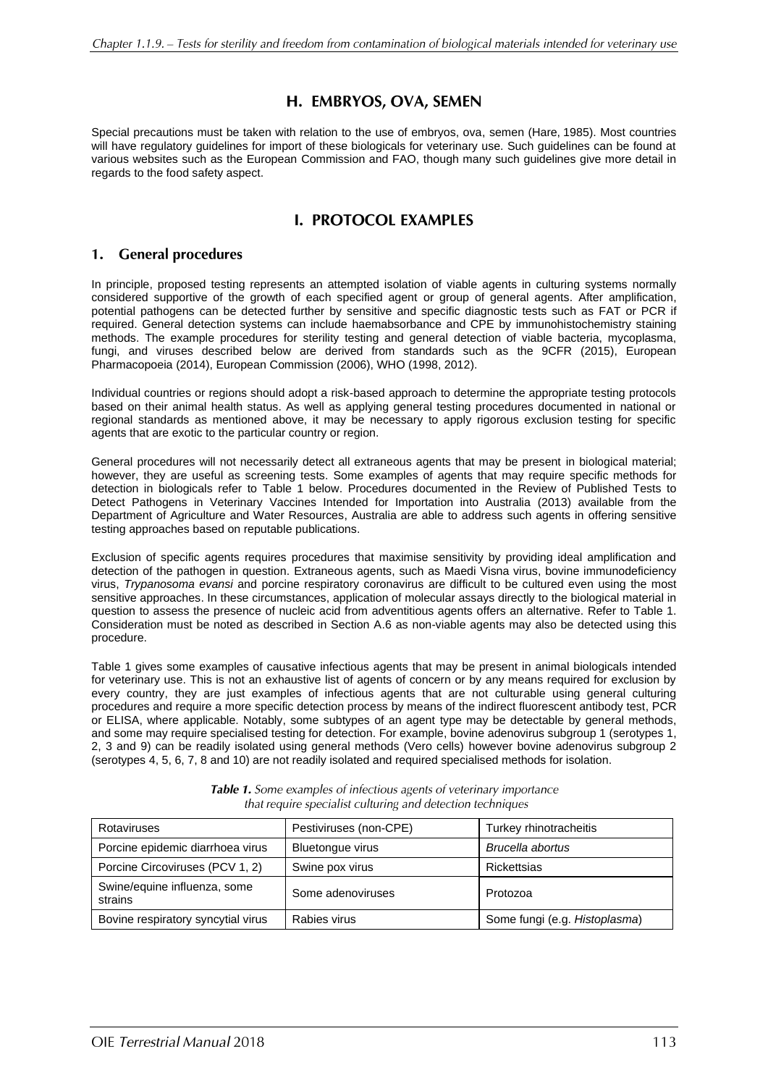## H. EMBRYOS, OVA, SEMEN

Special precautions must be taken with relation to the use of embryos, ova, semen (Hare, 1985). Most countries will have regulatory guidelines for import of these biologicals for veterinary use. Such guidelines can be found at various websites such as the European Commission and FAO, though many such guidelines give more detail in regards to the food safety aspect.

## **I. PROTOCOL EXAMPLES**

### 1. General procedures

In principle, proposed testing represents an attempted isolation of viable agents in culturing systems normally considered supportive of the growth of each specified agent or group of general agents. After amplification, potential pathogens can be detected further by sensitive and specific diagnostic tests such as FAT or PCR if required. General detection systems can include haemabsorbance and CPE by immunohistochemistry staining methods. The example procedures for sterility testing and general detection of viable bacteria, mycoplasma, fungi, and viruses described below are derived from standards such as the 9CFR (2015), European Pharmacopoeia (2014), European Commission (2006), WHO (1998, 2012).

Individual countries or regions should adopt a risk-based approach to determine the appropriate testing protocols based on their animal health status. As well as applying general testing procedures documented in national or regional standards as mentioned above, it may be necessary to apply rigorous exclusion testing for specific agents that are exotic to the particular country or region.

General procedures will not necessarily detect all extraneous agents that may be present in biological material; however, they are useful as screening tests. Some examples of agents that may require specific methods for detection in biologicals refer to Table 1 below. Procedures documented in the Review of Published Tests to Detect Pathogens in Veterinary Vaccines Intended for Importation into Australia (2013) available from the Department of Agriculture and Water Resources, Australia are able to address such agents in offering sensitive testing approaches based on reputable publications.

Exclusion of specific agents requires procedures that maximise sensitivity by providing ideal amplification and detection of the pathogen in question. Extraneous agents, such as Maedi Visna virus, bovine immunodeficiency virus, *Trypanosoma evansi* and porcine respiratory coronavirus are difficult to be cultured even using the most sensitive approaches. In these circumstances, application of molecular assays directly to the biological material in question to assess the presence of nucleic acid from adventitious agents offers an alternative. Refer to Table 1. Consideration must be noted as described in Section A.6 as non-viable agents may also be detected using this procedure.

Table 1 gives some examples of causative infectious agents that may be present in animal biologicals intended for veterinary use. This is not an exhaustive list of agents of concern or by any means required for exclusion by every country, they are just examples of infectious agents that are not culturable using general culturing procedures and require a more specific detection process by means of the indirect fluorescent antibody test, PCR or ELISA, where applicable. Notably, some subtypes of an agent type may be detectable by general methods, and some may require specialised testing for detection. For example, bovine adenovirus subgroup 1 (serotypes 1, 2, 3 and 9) can be readily isolated using general methods (Vero cells) however bovine adenovirus subgroup 2 (serotypes 4, 5, 6, 7, 8 and 10) are not readily isolated and required specialised methods for isolation.

| Rotaviruses                             | Pestiviruses (non-CPE) | Turkey rhinotracheitis        |  |
|-----------------------------------------|------------------------|-------------------------------|--|
| Porcine epidemic diarrhoea virus        | Bluetongue virus       | Brucella abortus              |  |
| Porcine Circoviruses (PCV 1, 2)         | Swine pox virus        | Rickettsias                   |  |
| Swine/equine influenza, some<br>strains | Some adenoviruses      | Protozoa                      |  |
| Bovine respiratory syncytial virus      | Rabies virus           | Some fungi (e.g. Histoplasma) |  |

Table 1. Some examples of infectious agents of veterinary importance that require specialist culturing and detection techniques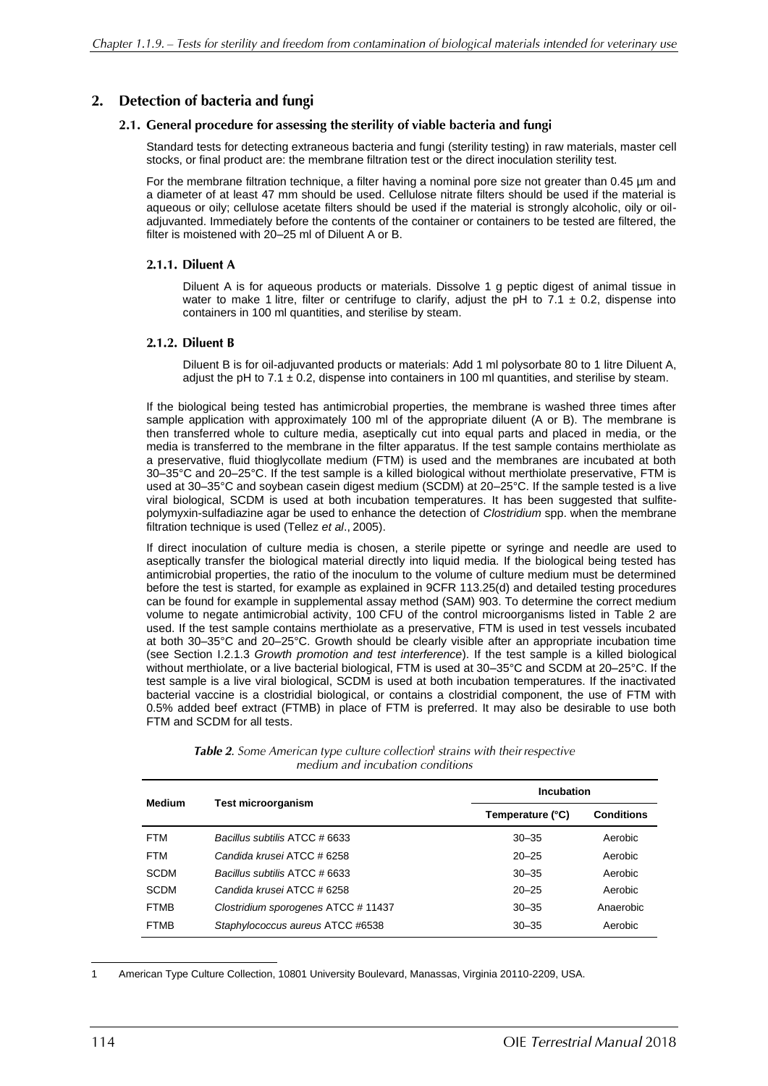#### Detection of bacteria and fungi  $2.$

#### 2.1. General procedure for assessing the sterility of viable bacteria and fungi

Standard tests for detecting extraneous bacteria and fungi (sterility testing) in raw materials, master cell stocks, or final product are: the membrane filtration test or the direct inoculation sterility test.

For the membrane filtration technique, a filter having a nominal pore size not greater than 0.45 µm and a diameter of at least 47 mm should be used. Cellulose nitrate filters should be used if the material is aqueous or oily; cellulose acetate filters should be used if the material is strongly alcoholic, oily or oiladjuvanted. Immediately before the contents of the container or containers to be tested are filtered, the filter is moistened with 20–25 ml of Diluent A or B.

#### 2.1.1. Diluent A

Diluent A is for aqueous products or materials. Dissolve 1 g peptic digest of animal tissue in water to make 1 litre, filter or centrifuge to clarify, adjust the pH to 7.1  $\pm$  0.2, dispense into containers in 100 ml quantities, and sterilise by steam.

#### 2.1.2. Diluent B

Diluent B is for oil-adjuvanted products or materials: Add 1 ml polysorbate 80 to 1 litre Diluent A, adjust the pH to 7.1  $\pm$  0.2, dispense into containers in 100 ml quantities, and sterilise by steam.

If the biological being tested has antimicrobial properties, the membrane is washed three times after sample application with approximately 100 ml of the appropriate diluent (A or B). The membrane is then transferred whole to culture media, aseptically cut into equal parts and placed in media, or the media is transferred to the membrane in the filter apparatus. If the test sample contains merthiolate as a preservative, fluid thioglycollate medium (FTM) is used and the membranes are incubated at both 30–35°C and 20–25°C. If the test sample is a killed biological without merthiolate preservative, FTM is used at 30–35°C and soybean casein digest medium (SCDM) at 20–25°C. If the sample tested is a live viral biological, SCDM is used at both incubation temperatures. It has been suggested that sulfitepolymyxin-sulfadiazine agar be used to enhance the detection of *Clostridium* spp. when the membrane filtration technique is used (Tellez *et al*., 2005).

If direct inoculation of culture media is chosen, a sterile pipette or syringe and needle are used to aseptically transfer the biological material directly into liquid media. If the biological being tested has antimicrobial properties, the ratio of the inoculum to the volume of culture medium must be determined before the test is started, for example as explained in 9CFR 113.25(d) and detailed testing procedures can be found for example in supplemental assay method (SAM) 903. To determine the correct medium volume to negate antimicrobial activity, 100 CFU of the control microorganisms listed in Table 2 are used. If the test sample contains merthiolate as a preservative, FTM is used in test vessels incubated at both 30–35°C and 20–25°C. Growth should be clearly visible after an appropriate incubation time (see Section I.2.1.3 *Growth promotion and test interference*). If the test sample is a killed biological without merthiolate, or a live bacterial biological, FTM is used at 30–35°C and SCDM at 20–25°C. If the test sample is a live viral biological, SCDM is used at both incubation temperatures. If the inactivated bacterial vaccine is a clostridial biological, or contains a clostridial component, the use of FTM with 0.5% added beef extract (FTMB) in place of FTM is preferred. It may also be desirable to use both FTM and SCDM for all tests.

| <b>Medium</b> |                                    |                  | <b>Incubation</b> |  |
|---------------|------------------------------------|------------------|-------------------|--|
|               | <b>Test microorganism</b>          | Temperature (°C) | <b>Conditions</b> |  |
| <b>FTM</b>    | Bacillus subtilis ATCC # 6633      | $30 - 35$        | Aerobic           |  |
| <b>FTM</b>    | Candida krusei ATCC # 6258         | $20 - 25$        | Aerobic           |  |
| SCDM          | Bacillus subtilis ATCC # 6633      | $30 - 35$        | Aerobic           |  |
| SCDM          | Candida krusei ATCC # 6258         | $20 - 25$        | Aerobic           |  |
| <b>FTMB</b>   | Clostridium sporogenes ATCC #11437 | $30 - 35$        | Anaerobic         |  |
| <b>FTMB</b>   | Staphylococcus aureus ATCC #6538   | $30 - 35$        | Aerobic           |  |

**Table 2.** Some American type culture collection<sup>1</sup> strains with their respective medium and incubation conditions

American Type Culture Collection, 10801 University Boulevard, Manassas, Virginia 20110-2209, USA.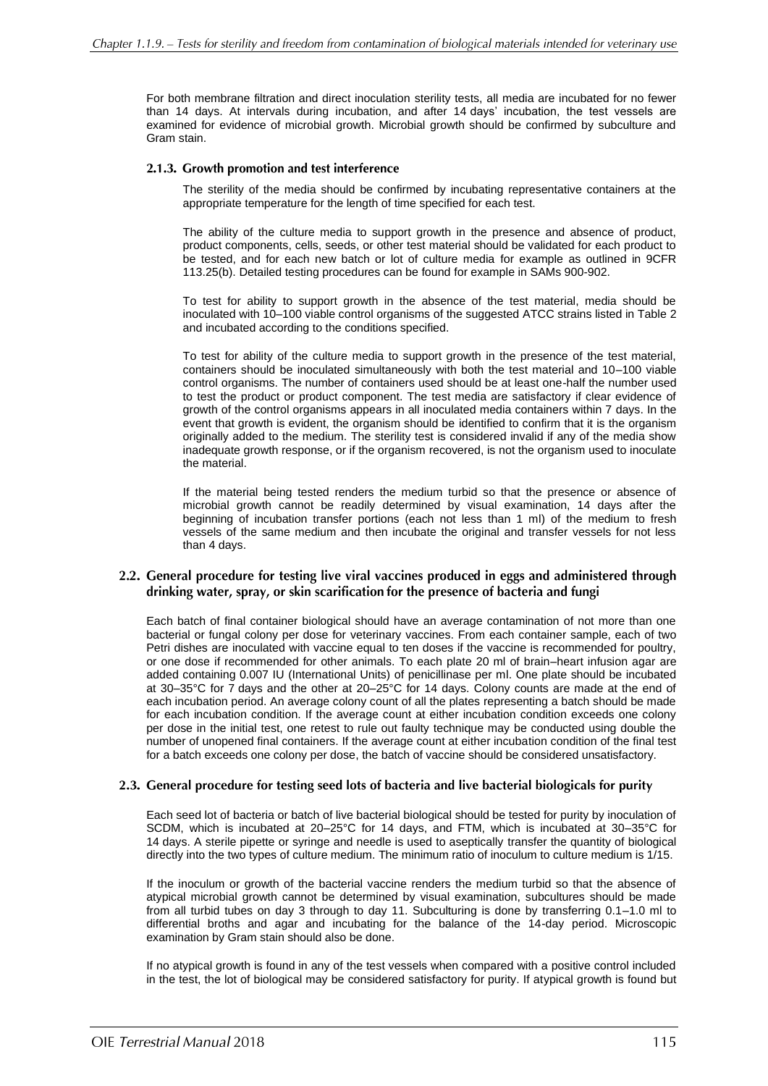For both membrane filtration and direct inoculation sterility tests, all media are incubated for no fewer than 14 days. At intervals during incubation, and after 14 days' incubation, the test vessels are examined for evidence of microbial growth. Microbial growth should be confirmed by subculture and Gram stain.

#### 2.1.3. Growth promotion and test interference

The sterility of the media should be confirmed by incubating representative containers at the appropriate temperature for the length of time specified for each test.

The ability of the culture media to support growth in the presence and absence of product, product components, cells, seeds, or other test material should be validated for each product to be tested, and for each new batch or lot of culture media for example as outlined in 9CFR 113.25(b). Detailed testing procedures can be found for example in SAMs 900-902.

To test for ability to support growth in the absence of the test material, media should be inoculated with 10–100 viable control organisms of the suggested ATCC strains listed in Table 2 and incubated according to the conditions specified.

To test for ability of the culture media to support growth in the presence of the test material, containers should be inoculated simultaneously with both the test material and 10–100 viable control organisms. The number of containers used should be at least one-half the number used to test the product or product component. The test media are satisfactory if clear evidence of growth of the control organisms appears in all inoculated media containers within 7 days. In the event that growth is evident, the organism should be identified to confirm that it is the organism originally added to the medium. The sterility test is considered invalid if any of the media show inadequate growth response, or if the organism recovered, is not the organism used to inoculate the material.

If the material being tested renders the medium turbid so that the presence or absence of microbial growth cannot be readily determined by visual examination, 14 days after the beginning of incubation transfer portions (each not less than 1 ml) of the medium to fresh vessels of the same medium and then incubate the original and transfer vessels for not less than 4 days.

#### 2.2. General procedure for testing live viral vaccines produced in eggs and administered through drinking water, spray, or skin scarification for the presence of bacteria and fungi

Each batch of final container biological should have an average contamination of not more than one bacterial or fungal colony per dose for veterinary vaccines. From each container sample, each of two Petri dishes are inoculated with vaccine equal to ten doses if the vaccine is recommended for poultry, or one dose if recommended for other animals. To each plate 20 ml of brain–heart infusion agar are added containing 0.007 IU (International Units) of penicillinase per ml. One plate should be incubated at 30–35°C for 7 days and the other at 20–25°C for 14 days. Colony counts are made at the end of each incubation period. An average colony count of all the plates representing a batch should be made for each incubation condition. If the average count at either incubation condition exceeds one colony per dose in the initial test, one retest to rule out faulty technique may be conducted using double the number of unopened final containers. If the average count at either incubation condition of the final test for a batch exceeds one colony per dose, the batch of vaccine should be considered unsatisfactory.

#### 2.3. General procedure for testing seed lots of bacteria and live bacterial biologicals for purity

Each seed lot of bacteria or batch of live bacterial biological should be tested for purity by inoculation of SCDM, which is incubated at 20–25°C for 14 days, and FTM, which is incubated at 30–35°C for 14 days. A sterile pipette or syringe and needle is used to aseptically transfer the quantity of biological directly into the two types of culture medium. The minimum ratio of inoculum to culture medium is 1/15.

If the inoculum or growth of the bacterial vaccine renders the medium turbid so that the absence of atypical microbial growth cannot be determined by visual examination, subcultures should be made from all turbid tubes on day 3 through to day 11. Subculturing is done by transferring 0.1–1.0 ml to differential broths and agar and incubating for the balance of the 14-day period. Microscopic examination by Gram stain should also be done.

If no atypical growth is found in any of the test vessels when compared with a positive control included in the test, the lot of biological may be considered satisfactory for purity. If atypical growth is found but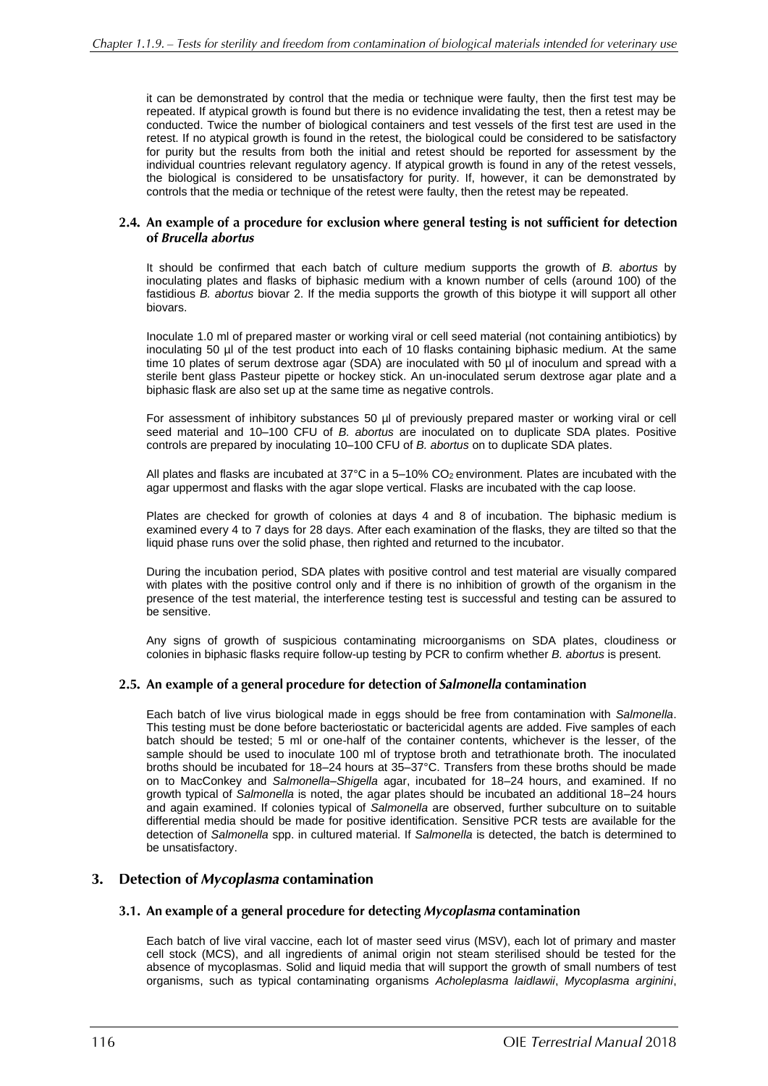it can be demonstrated by control that the media or technique were faulty, then the first test may be repeated. If atypical growth is found but there is no evidence invalidating the test, then a retest may be conducted. Twice the number of biological containers and test vessels of the first test are used in the retest. If no atypical growth is found in the retest, the biological could be considered to be satisfactory for purity but the results from both the initial and retest should be reported for assessment by the individual countries relevant regulatory agency. If atypical growth is found in any of the retest vessels, the biological is considered to be unsatisfactory for purity. If, however, it can be demonstrated by controls that the media or technique of the retest were faulty, then the retest may be repeated.

#### 2.4. An example of a procedure for exclusion where general testing is not sufficient for detection of Brucella abortus

It should be confirmed that each batch of culture medium supports the growth of *B. abortus* by inoculating plates and flasks of biphasic medium with a known number of cells (around 100) of the fastidious *B. abortus* biovar 2. If the media supports the growth of this biotype it will support all other biovars.

Inoculate 1.0 ml of prepared master or working viral or cell seed material (not containing antibiotics) by inoculating 50 µl of the test product into each of 10 flasks containing biphasic medium. At the same time 10 plates of serum dextrose agar (SDA) are inoculated with 50  $\mu$ l of inoculum and spread with a sterile bent glass Pasteur pipette or hockey stick. An un-inoculated serum dextrose agar plate and a biphasic flask are also set up at the same time as negative controls.

For assessment of inhibitory substances 50 µl of previously prepared master or working viral or cell seed material and 10–100 CFU of *B. abortus* are inoculated on to duplicate SDA plates. Positive controls are prepared by inoculating 10–100 CFU of *B. abortus* on to duplicate SDA plates.

All plates and flasks are incubated at  $37^{\circ}$ C in a 5–10% CO<sub>2</sub> environment. Plates are incubated with the agar uppermost and flasks with the agar slope vertical. Flasks are incubated with the cap loose.

Plates are checked for growth of colonies at days 4 and 8 of incubation. The biphasic medium is examined every 4 to 7 days for 28 days. After each examination of the flasks, they are tilted so that the liquid phase runs over the solid phase, then righted and returned to the incubator.

During the incubation period, SDA plates with positive control and test material are visually compared with plates with the positive control only and if there is no inhibition of growth of the organism in the presence of the test material, the interference testing test is successful and testing can be assured to be sensitive.

Any signs of growth of suspicious contaminating microorganisms on SDA plates, cloudiness or colonies in biphasic flasks require follow-up testing by PCR to confirm whether *B. abortus* is present.

#### 2.5. An example of a general procedure for detection of Salmonella contamination

Each batch of live virus biological made in eggs should be free from contamination with *Salmonella*. This testing must be done before bacteriostatic or bactericidal agents are added. Five samples of each batch should be tested; 5 ml or one-half of the container contents, whichever is the lesser, of the sample should be used to inoculate 100 ml of tryptose broth and tetrathionate broth. The inoculated broths should be incubated for 18–24 hours at 35–37°C. Transfers from these broths should be made on to MacConkey and *Salmonella–Shigella* agar, incubated for 18–24 hours, and examined. If no growth typical of *Salmonella* is noted, the agar plates should be incubated an additional 18–24 hours and again examined. If colonies typical of *Salmonella* are observed, further subculture on to suitable differential media should be made for positive identification. Sensitive PCR tests are available for the detection of *Salmonella* spp. in cultured material. If *Salmonella* is detected, the batch is determined to be unsatisfactory.

#### 3. Detection of Mycoplasma contamination

#### 3.1. An example of a general procedure for detecting Mycoplasma contamination

Each batch of live viral vaccine, each lot of master seed virus (MSV), each lot of primary and master cell stock (MCS), and all ingredients of animal origin not steam sterilised should be tested for the absence of mycoplasmas. Solid and liquid media that will support the growth of small numbers of test organisms, such as typical contaminating organisms *Acholeplasma laidlawii*, *Mycoplasma arginini*,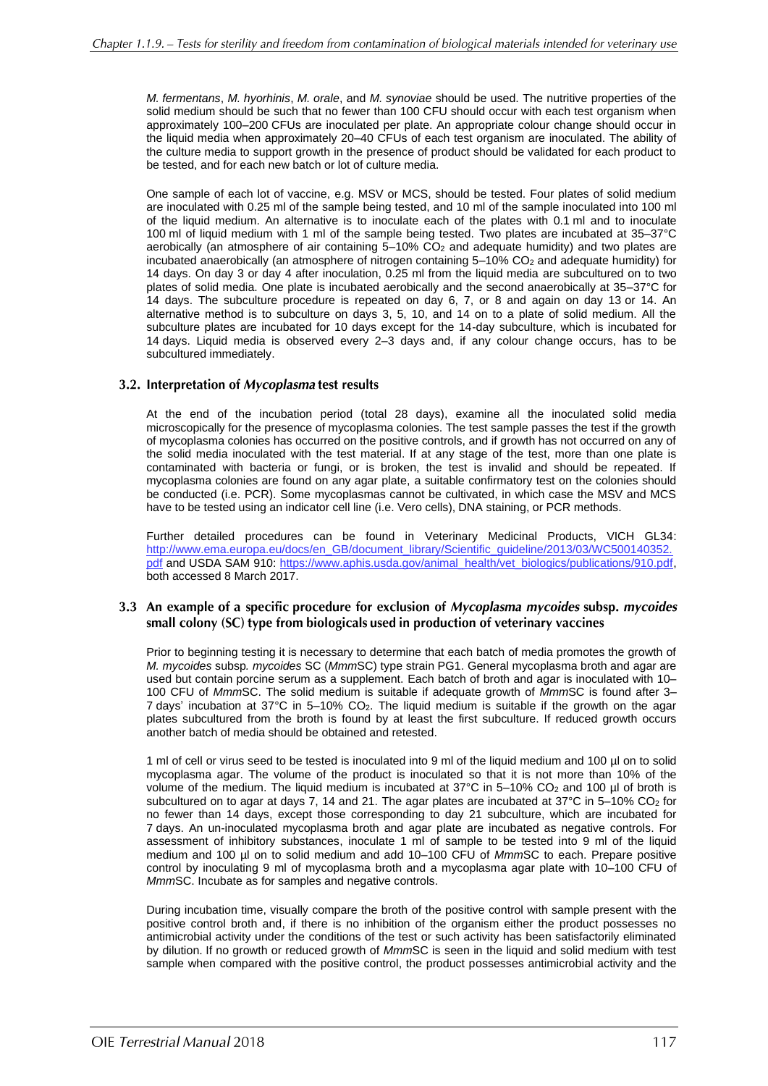*M. fermentans*, *M. hyorhinis*, *M. orale*, and *M. synoviae* should be used. The nutritive properties of the solid medium should be such that no fewer than 100 CFU should occur with each test organism when approximately 100–200 CFUs are inoculated per plate. An appropriate colour change should occur in the liquid media when approximately 20–40 CFUs of each test organism are inoculated. The ability of the culture media to support growth in the presence of product should be validated for each product to be tested, and for each new batch or lot of culture media.

One sample of each lot of vaccine, e.g. MSV or MCS, should be tested. Four plates of solid medium are inoculated with 0.25 ml of the sample being tested, and 10 ml of the sample inoculated into 100 ml of the liquid medium. An alternative is to inoculate each of the plates with 0.1 ml and to inoculate 100 ml of liquid medium with 1 ml of the sample being tested. Two plates are incubated at 35–37°C aerobically (an atmosphere of air containing  $5-10\%$  CO<sub>2</sub> and adequate humidity) and two plates are incubated anaerobically (an atmosphere of nitrogen containing 5–10% CO<sub>2</sub> and adequate humidity) for 14 days. On day 3 or day 4 after inoculation, 0.25 ml from the liquid media are subcultured on to two plates of solid media. One plate is incubated aerobically and the second anaerobically at 35–37°C for 14 days. The subculture procedure is repeated on day 6, 7, or 8 and again on day 13 or 14. An alternative method is to subculture on days 3, 5, 10, and 14 on to a plate of solid medium. All the subculture plates are incubated for 10 days except for the 14-day subculture, which is incubated for 14 days. Liquid media is observed every 2–3 days and, if any colour change occurs, has to be subcultured immediately.

#### 3.2. Interpretation of Mycoplasma test results

At the end of the incubation period (total 28 days), examine all the inoculated solid media microscopically for the presence of mycoplasma colonies. The test sample passes the test if the growth of mycoplasma colonies has occurred on the positive controls, and if growth has not occurred on any of the solid media inoculated with the test material. If at any stage of the test, more than one plate is contaminated with bacteria or fungi, or is broken, the test is invalid and should be repeated. If mycoplasma colonies are found on any agar plate, a suitable confirmatory test on the colonies should be conducted (i.e. PCR). Some mycoplasmas cannot be cultivated, in which case the MSV and MCS have to be tested using an indicator cell line (i.e. Vero cells), DNA staining, or PCR methods.

Further detailed procedures can be found in Veterinary Medicinal Products, VICH GL34: [http://www.ema.europa.eu/docs/en\\_GB/document\\_library/Scientific\\_guideline/2013/03/WC500140352.](http://www.ema.europa.eu/docs/en_GB/document_library/Scientific_guideline/2013/03/WC500140352.pdf) [pdf](http://www.ema.europa.eu/docs/en_GB/document_library/Scientific_guideline/2013/03/WC500140352.pdf) and USDA SAM 910: [https://www.aphis.usda.gov/animal\\_health/vet\\_biologics/publications/910.pdf,](https://www.aphis.usda.gov/animal_health/vet_biologics/publications/910.pdf) both accessed 8 March 2017.

#### 3.3 An example of a specific procedure for exclusion of Mycoplasma mycoides subsp. mycoides small colony (SC) type from biologicals used in production of veterinary vaccines

Prior to beginning testing it is necessary to determine that each batch of media promotes the growth of *M. mycoides* subsp*. mycoides* SC (*Mmm*SC) type strain PG1. General mycoplasma broth and agar are used but contain porcine serum as a supplement. Each batch of broth and agar is inoculated with 10– 100 CFU of *Mmm*SC. The solid medium is suitable if adequate growth of *Mmm*SC is found after 3– 7 days' incubation at 37°C in 5–10% CO2. The liquid medium is suitable if the growth on the agar plates subcultured from the broth is found by at least the first subculture. If reduced growth occurs another batch of media should be obtained and retested.

1 ml of cell or virus seed to be tested is inoculated into 9 ml of the liquid medium and 100 µl on to solid mycoplasma agar. The volume of the product is inoculated so that it is not more than 10% of the volume of the medium. The liquid medium is incubated at 37°C in 5–10% CO<sub>2</sub> and 100 µl of broth is subcultured on to agar at days 7, 14 and 21. The agar plates are incubated at 37°C in 5–10% CO<sub>2</sub> for no fewer than 14 days, except those corresponding to day 21 subculture, which are incubated for 7 days. An un-inoculated mycoplasma broth and agar plate are incubated as negative controls. For assessment of inhibitory substances, inoculate 1 ml of sample to be tested into 9 ml of the liquid medium and 100 µl on to solid medium and add 10–100 CFU of *Mmm*SC to each. Prepare positive control by inoculating 9 ml of mycoplasma broth and a mycoplasma agar plate with 10–100 CFU of *Mmm*SC. Incubate as for samples and negative controls.

During incubation time, visually compare the broth of the positive control with sample present with the positive control broth and, if there is no inhibition of the organism either the product possesses no antimicrobial activity under the conditions of the test or such activity has been satisfactorily eliminated by dilution. If no growth or reduced growth of *Mmm*SC is seen in the liquid and solid medium with test sample when compared with the positive control, the product possesses antimicrobial activity and the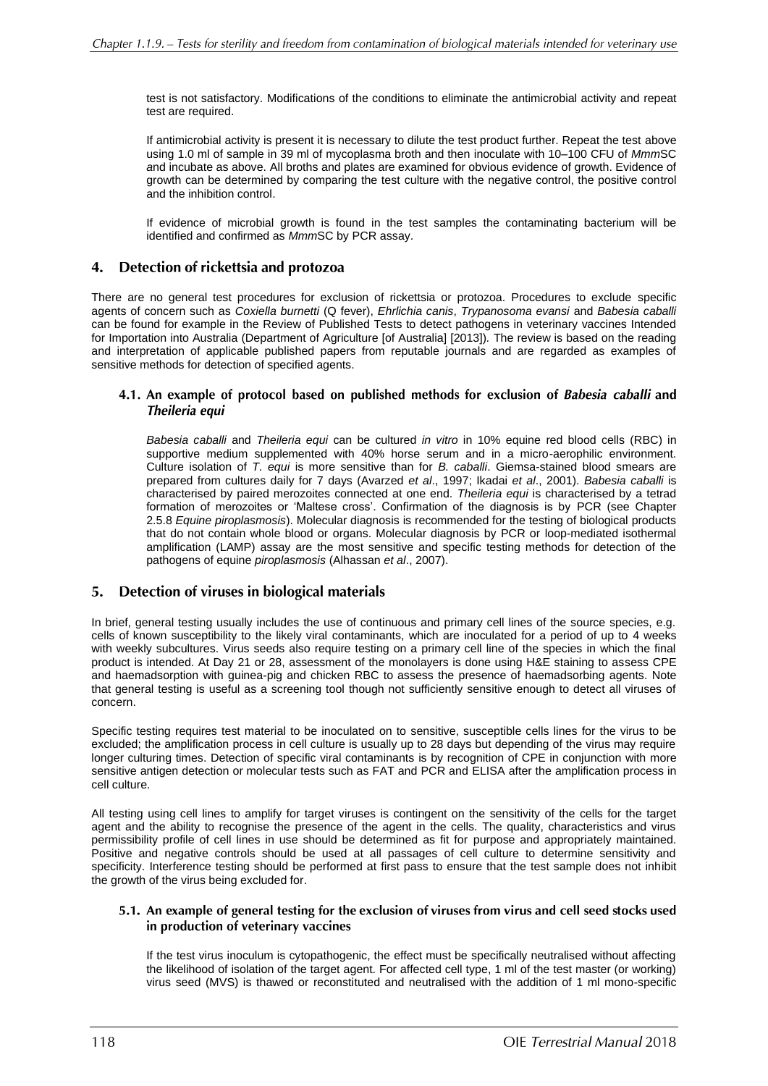test is not satisfactory. Modifications of the conditions to eliminate the antimicrobial activity and repeat test are required.

If antimicrobial activity is present it is necessary to dilute the test product further. Repeat the test above using 1.0 ml of sample in 39 ml of mycoplasma broth and then inoculate with 10–100 CFU of *Mmm*SC *a*nd incubate as above. All broths and plates are examined for obvious evidence of growth. Evidence of growth can be determined by comparing the test culture with the negative control, the positive control and the inhibition control.

If evidence of microbial growth is found in the test samples the contaminating bacterium will be identified and confirmed as *Mmm*SC by PCR assay.

#### $\mathbf{4}$ . Detection of rickettsia and protozoa

There are no general test procedures for exclusion of rickettsia or protozoa. Procedures to exclude specific agents of concern such as *Coxiella burnetti* (Q fever), *Ehrlichia canis*, *Trypanosoma evansi* and *Babesia caballi* can be found for example in the Review of Published Tests to detect pathogens in veterinary vaccines Intended for Importation into Australia (Department of Agriculture [of Australia] [2013])*.* The review is based on the reading and interpretation of applicable published papers from reputable journals and are regarded as examples of sensitive methods for detection of specified agents.

#### 4.1. An example of protocol based on published methods for exclusion of Babesia caballi and Theileria equi

*Babesia caballi* and *Theileria equi* can be cultured *in vitro* in 10% equine red blood cells (RBC) in supportive medium supplemented with 40% horse serum and in a micro-aerophilic environment. Culture isolation of *T. equi* is more sensitive than for *B. caballi*. Giemsa-stained blood smears are prepared from cultures daily for 7 days (Avarzed *et al*., 1997; Ikadai *et al*., 2001). *Babesia caballi* is characterised by paired merozoites connected at one end. *Theileria equi* is characterised by a tetrad formation of merozoites or 'Maltese cross'. Confirmation of the diagnosis is by PCR (see Chapter 2.5.8 *Equine piroplasmosis*). Molecular diagnosis is recommended for the testing of biological products that do not contain whole blood or organs. Molecular diagnosis by PCR or loop-mediated isothermal amplification (LAMP) assay are the most sensitive and specific testing methods for detection of the pathogens of equine *piroplasmosis* (Alhassan *et al*., 2007).

#### Detection of viruses in biological materials 5.

In brief, general testing usually includes the use of continuous and primary cell lines of the source species, e.g. cells of known susceptibility to the likely viral contaminants, which are inoculated for a period of up to 4 weeks with weekly subcultures. Virus seeds also require testing on a primary cell line of the species in which the final product is intended. At Day 21 or 28, assessment of the monolayers is done using H&E staining to assess CPE and haemadsorption with guinea-pig and chicken RBC to assess the presence of haemadsorbing agents. Note that general testing is useful as a screening tool though not sufficiently sensitive enough to detect all viruses of concern.

Specific testing requires test material to be inoculated on to sensitive, susceptible cells lines for the virus to be excluded; the amplification process in cell culture is usually up to 28 days but depending of the virus may require longer culturing times. Detection of specific viral contaminants is by recognition of CPE in conjunction with more sensitive antigen detection or molecular tests such as FAT and PCR and ELISA after the amplification process in cell culture.

All testing using cell lines to amplify for target viruses is contingent on the sensitivity of the cells for the target agent and the ability to recognise the presence of the agent in the cells. The quality, characteristics and virus permissibility profile of cell lines in use should be determined as fit for purpose and appropriately maintained. Positive and negative controls should be used at all passages of cell culture to determine sensitivity and specificity. Interference testing should be performed at first pass to ensure that the test sample does not inhibit the growth of the virus being excluded for.

#### 5.1. An example of general testing for the exclusion of viruses from virus and cell seed stocks used in production of veterinary vaccines

If the test virus inoculum is cytopathogenic, the effect must be specifically neutralised without affecting the likelihood of isolation of the target agent. For affected cell type, 1 ml of the test master (or working) virus seed (MVS) is thawed or reconstituted and neutralised with the addition of 1 ml mono-specific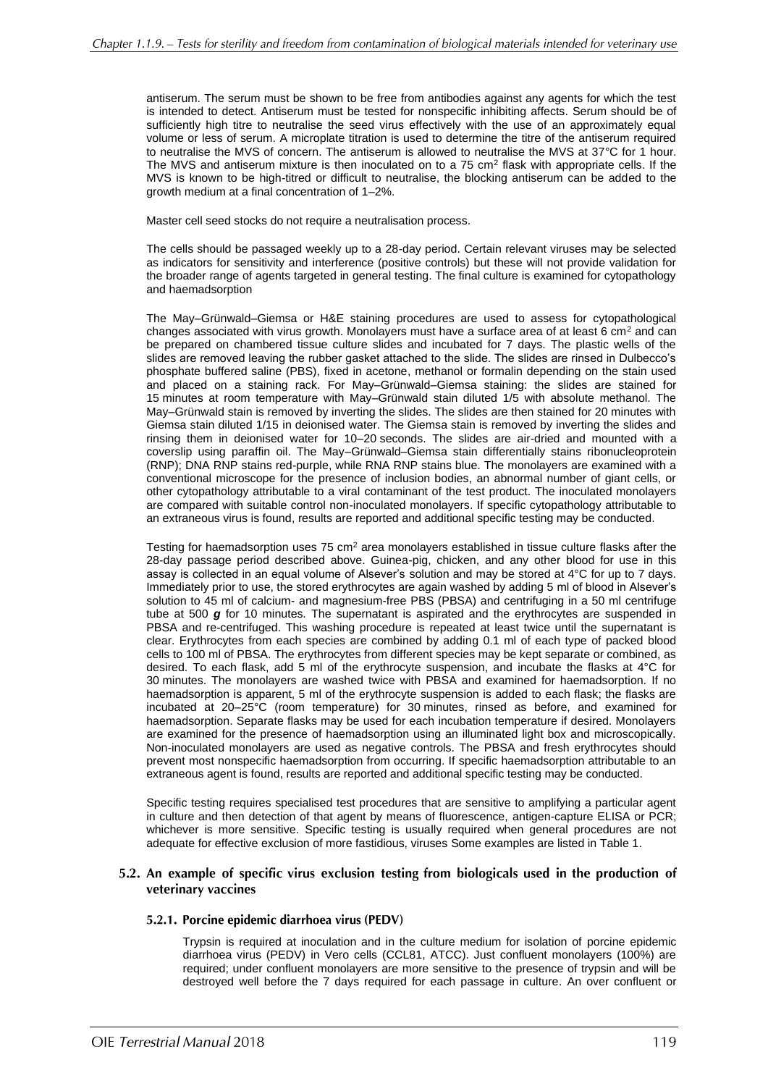antiserum. The serum must be shown to be free from antibodies against any agents for which the test is intended to detect. Antiserum must be tested for nonspecific inhibiting affects. Serum should be of sufficiently high titre to neutralise the seed virus effectively with the use of an approximately equal volume or less of serum. A microplate titration is used to determine the titre of the antiserum required to neutralise the MVS of concern. The antiserum is allowed to neutralise the MVS at 37°C for 1 hour. The MVS and antiserum mixture is then inoculated on to a 75 cm<sup>2</sup> flask with appropriate cells. If the MVS is known to be high-titred or difficult to neutralise, the blocking antiserum can be added to the growth medium at a final concentration of 1–2%.

Master cell seed stocks do not require a neutralisation process.

The cells should be passaged weekly up to a 28-day period. Certain relevant viruses may be selected as indicators for sensitivity and interference (positive controls) but these will not provide validation for the broader range of agents targeted in general testing. The final culture is examined for cytopathology and haemadsorption

The May–Grünwald–Giemsa or H&E staining procedures are used to assess for cytopathological changes associated with virus growth. Monolayers must have a surface area of at least 6 cm<sup>2</sup> and can be prepared on chambered tissue culture slides and incubated for 7 days. The plastic wells of the slides are removed leaving the rubber gasket attached to the slide. The slides are rinsed in Dulbecco's phosphate buffered saline (PBS), fixed in acetone, methanol or formalin depending on the stain used and placed on a staining rack. For May–Grünwald–Giemsa staining: the slides are stained for 15 minutes at room temperature with May–Grünwald stain diluted 1/5 with absolute methanol. The May–Grünwald stain is removed by inverting the slides. The slides are then stained for 20 minutes with Giemsa stain diluted 1/15 in deionised water. The Giemsa stain is removed by inverting the slides and rinsing them in deionised water for 10–20 seconds. The slides are air-dried and mounted with a coverslip using paraffin oil. The May–Grünwald–Giemsa stain differentially stains ribonucleoprotein (RNP); DNA RNP stains red-purple, while RNA RNP stains blue. The monolayers are examined with a conventional microscope for the presence of inclusion bodies, an abnormal number of giant cells, or other cytopathology attributable to a viral contaminant of the test product. The inoculated monolayers are compared with suitable control non-inoculated monolayers. If specific cytopathology attributable to an extraneous virus is found, results are reported and additional specific testing may be conducted.

Testing for haemadsorption uses 75 cm<sup>2</sup> area monolavers established in tissue culture flasks after the 28-day passage period described above. Guinea-pig, chicken, and any other blood for use in this assay is collected in an equal volume of Alsever's solution and may be stored at 4°C for up to 7 days. Immediately prior to use, the stored erythrocytes are again washed by adding 5 ml of blood in Alsever's solution to 45 ml of calcium- and magnesium-free PBS (PBSA) and centrifuging in a 50 ml centrifuge tube at 500 *g* for 10 minutes. The supernatant is aspirated and the erythrocytes are suspended in PBSA and re-centrifuged. This washing procedure is repeated at least twice until the supernatant is clear. Erythrocytes from each species are combined by adding 0.1 ml of each type of packed blood cells to 100 ml of PBSA. The erythrocytes from different species may be kept separate or combined, as desired. To each flask, add 5 ml of the erythrocyte suspension, and incubate the flasks at 4°C for 30 minutes. The monolayers are washed twice with PBSA and examined for haemadsorption. If no haemadsorption is apparent, 5 ml of the erythrocyte suspension is added to each flask; the flasks are incubated at 20–25°C (room temperature) for 30 minutes, rinsed as before, and examined for haemadsorption. Separate flasks may be used for each incubation temperature if desired. Monolayers are examined for the presence of haemadsorption using an illuminated light box and microscopically. Non-inoculated monolayers are used as negative controls. The PBSA and fresh erythrocytes should prevent most nonspecific haemadsorption from occurring. If specific haemadsorption attributable to an extraneous agent is found, results are reported and additional specific testing may be conducted.

Specific testing requires specialised test procedures that are sensitive to amplifying a particular agent in culture and then detection of that agent by means of fluorescence, antigen-capture ELISA or PCR; whichever is more sensitive. Specific testing is usually required when general procedures are not adequate for effective exclusion of more fastidious, viruses Some examples are listed in Table 1.

#### 5.2. An example of specific virus exclusion testing from biologicals used in the production of veterinary vaccines

#### 5.2.1. Porcine epidemic diarrhoea virus (PEDV)

Trypsin is required at inoculation and in the culture medium for isolation of porcine epidemic diarrhoea virus (PEDV) in Vero cells (CCL81, ATCC). Just confluent monolayers (100%) are required; under confluent monolayers are more sensitive to the presence of trypsin and will be destroyed well before the 7 days required for each passage in culture. An over confluent or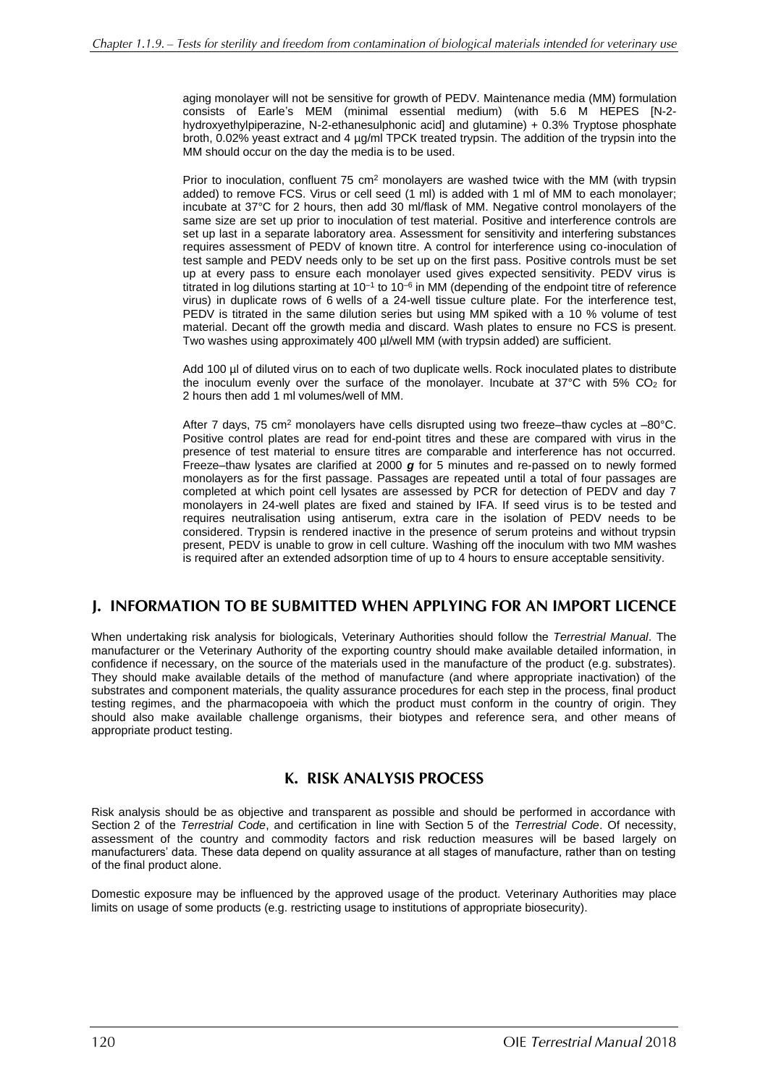aging monolayer will not be sensitive for growth of PEDV. Maintenance media (MM) formulation consists of Earle's MEM (minimal essential medium) (with 5.6 M HEPES [N-2 hydroxyethylpiperazine, N-2-ethanesulphonic acid] and glutamine) + 0.3% Tryptose phosphate broth, 0.02% yeast extract and 4 µg/ml TPCK treated trypsin. The addition of the trypsin into the MM should occur on the day the media is to be used.

Prior to inoculation, confluent  $75 \text{ cm}^2$  monolayers are washed twice with the MM (with trypsin added) to remove FCS. Virus or cell seed (1 ml) is added with 1 ml of MM to each monolayer; incubate at 37°C for 2 hours, then add 30 ml/flask of MM. Negative control monolayers of the same size are set up prior to inoculation of test material. Positive and interference controls are set up last in a separate laboratory area. Assessment for sensitivity and interfering substances requires assessment of PEDV of known titre. A control for interference using co-inoculation of test sample and PEDV needs only to be set up on the first pass. Positive controls must be set up at every pass to ensure each monolayer used gives expected sensitivity. PEDV virus is titrated in log dilutions starting at 10<sup>-1</sup> to 10<sup>-6</sup> in MM (depending of the endpoint titre of reference virus) in duplicate rows of 6 wells of a 24-well tissue culture plate. For the interference test, PEDV is titrated in the same dilution series but using MM spiked with a 10 % volume of test material. Decant off the growth media and discard. Wash plates to ensure no FCS is present. Two washes using approximately 400 µl/well MM (with trypsin added) are sufficient.

Add 100 µl of diluted virus on to each of two duplicate wells. Rock inoculated plates to distribute the inoculum evenly over the surface of the monolayer. Incubate at  $37^{\circ}$ C with  $5\%$  CO<sub>2</sub> for 2 hours then add 1 ml volumes/well of MM.

After 7 days, 75 cm<sup>2</sup> monolayers have cells disrupted using two freeze–thaw cycles at  $-80^{\circ}$ C. Positive control plates are read for end-point titres and these are compared with virus in the presence of test material to ensure titres are comparable and interference has not occurred. Freeze–thaw lysates are clarified at 2000 *g* for 5 minutes and re-passed on to newly formed monolayers as for the first passage. Passages are repeated until a total of four passages are completed at which point cell lysates are assessed by PCR for detection of PEDV and day 7 monolayers in 24-well plates are fixed and stained by IFA. If seed virus is to be tested and requires neutralisation using antiserum, extra care in the isolation of PEDV needs to be considered. Trypsin is rendered inactive in the presence of serum proteins and without trypsin present, PEDV is unable to grow in cell culture. Washing off the inoculum with two MM washes is required after an extended adsorption time of up to 4 hours to ensure acceptable sensitivity.

## J. INFORMATION TO BE SUBMITTED WHEN APPLYING FOR AN IMPORT LICENCE

When undertaking risk analysis for biologicals, [Veterinary Authorities](http://www.oie.int/eng/normes/mcode/en_chapitre_1.1.1.htm#terme_autorite_veterinaire) should follow the *[Terrestrial Manual](http://www.oie.int/eng/normes/mcode/en_chapitre_1.1.1.htm#terme_manuel_terrestre)*. The manufacturer or the [Veterinary Authority](http://www.oie.int/eng/normes/mcode/en_chapitre_1.1.1.htm#terme_autorite_veterinaire) of the [exporting country](http://www.oie.int/eng/normes/mcode/en_chapitre_1.1.1.htm#terme_pays_exportateur) should make available detailed information, in confidence if necessary, on the source of the materials used in the manufacture of the product (e.g. substrates). They should make available details of the method of manufacture (and where appropriate inactivation) of the substrates and component materials, the quality assurance procedures for each step in the process, final product testing regimes, and the pharmacopoeia with which the product must conform in the country of origin. They should also make available challenge organisms, their biotypes and reference sera, and other means of appropriate product testing.

## K. RISK ANALYSIS PROCESS

Risk analysis should be as objective and transparent as possible and should be performed in accordance with Section 2 of the *[Terrestrial Code](http://www.oie.int/eng/normes/mcode/en_chapitre_1.1.1.htm#terme_code_terrestre)*, and certification in line with Section 5 of the *[Terrestrial Code](http://www.oie.int/eng/normes/mcode/en_chapitre_1.1.1.htm#terme_code_terrestre)*. Of necessity, assessment of the country and commodity factors and risk reduction measures will be based largely on manufacturers' data. These data depend on quality assurance at all stages of manufacture, rather than on testing of the final product alone.

Domestic exposure may be influenced by the approved usage of the product. [Veterinary Authorities](http://www.oie.int/eng/normes/mcode/en_chapitre_1.1.1.htm#terme_autorite_veterinaire) may place limits on usage of some products (e.g. restricting usage to institutions of appropriate biosecurity).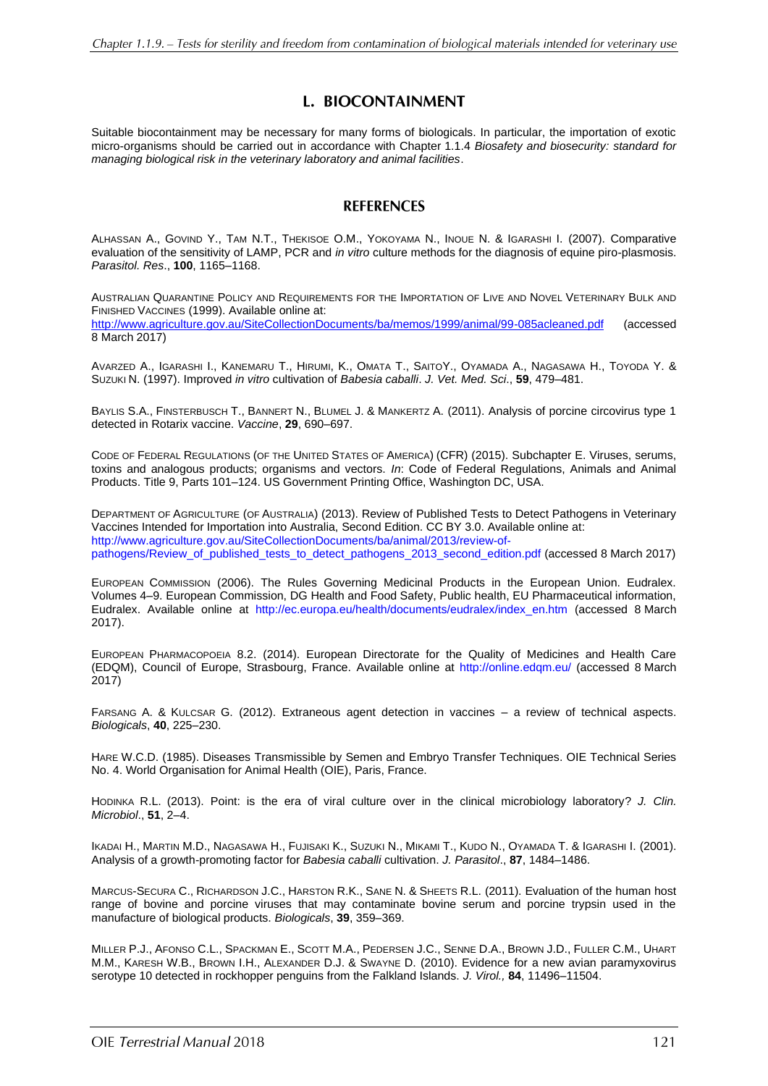## L. BIOCONTAINMENT

Suitable biocontainment may be necessary for many forms of biologicals. In particular, the importation of exotic micro-organisms should be carried out in accordance with Chapter 1.1.4 *Biosafety and biosecurity: standard for managing biological risk in the veterinary laboratory and animal facilities*.

### **REFERENCES**

ALHASSAN A., GOVIND Y., TAM [N.T.](http://www.ncbi.nlm.nih.gov/pubmed/?term=Tam%20NT%5BAuthor%5D&cauthor=true&cauthor_uid=17216488), T[HEKISOE](http://www.ncbi.nlm.nih.gov/pubmed/?term=Thekisoe%20OM%5BAuthor%5D&cauthor=true&cauthor_uid=17216488) O.M., Y[OKOYAMA](http://www.ncbi.nlm.nih.gov/pubmed/?term=Yokoyama%20N%5BAuthor%5D&cauthor=true&cauthor_uid=17216488) N., I[NOUE](http://www.ncbi.nlm.nih.gov/pubmed/?term=Inoue%20N%5BAuthor%5D&cauthor=true&cauthor_uid=17216488) N. & I[GARASHI](http://www.ncbi.nlm.nih.gov/pubmed/?term=Igarashi%20I%5BAuthor%5D&cauthor=true&cauthor_uid=17216488) I. (2007). Comparative evaluation of the sensitivity of LAMP, PCR and *in vitro* culture methods for the diagnosis of equine piro-plasmosis. *Parasitol. Res*., **100**, 1165–1168.

AUSTRALIAN QUARANTINE POLICY AND REQUIREMENTS FOR THE IMPORTATION OF LIVE AND NOVEL VETERINARY BULK AND FINISHED VACCINES (1999). Available online at: <http://www.agriculture.gov.au/SiteCollectionDocuments/ba/memos/1999/animal/99-085acleaned.pdf> (accessed 8 March 2017)

AVARZED A., IGARASHI I., KANEMARU T., HIRUMI, K., OMATA T., SAITOY., OYAMADA A., NAGASAWA H., TOYODA Y. & SUZUKI N. (1997). Improved *in vitro* cultivation of *Babesia caballi*. *J. Vet. Med. Sci*., **59**, 479–481.

BAYLIS S.A., FINSTERBUSCH T., BANNERT N., BLUMEL J. & MANKERTZ A. (2011). Analysis of porcine circovirus type 1 detected in Rotarix vaccine. *Vaccine*, **29**, 690–697.

CODE OF FEDERAL REGULATIONS (OF THE UNITED STATES OF AMERICA) (CFR) (2015). Subchapter E. Viruses, serums, toxins and analogous products; organisms and vectors. *In*: Code of Federal Regulations, Animals and Animal Products. Title 9, Parts 101–124. US Government Printing Office, Washington DC, USA.

DEPARTMENT OF AGRICULTURE (OF AUSTRALIA) (2013). Review of Published Tests to Detect Pathogens in Veterinary Vaccines Intended for Importation into Australia, Second Edition. CC BY 3.0. Available online at: http://www.agriculture.gov.au/SiteCollectionDocuments/ba/animal/2013/review-ofpathogens/Review\_of\_published\_tests\_to\_detect\_pathogens\_2013\_second\_edition.pdf (accessed 8 March 2017)

EUROPEAN COMMISSION (2006). The Rules Governing Medicinal Products in the European Union. Eudralex. Volumes 4–9. European Commission, DG Health and Food Safety, Public health, EU Pharmaceutical information, [Eudralex.](http://ec.europa.eu/health/documents/eudralex/index_en.htm) Available online at [http://ec.europa.eu/health/documents/eudralex/index\\_en.htm](http://ec.europa.eu/health/documents/eudralex/index_en.htm) (accessed 8 March 2017).

EUROPEAN PHARMACOPOEIA 8.2. (2014). European Directorate for the Quality of Medicines and Health Care (EDQM), Council of Europe, Strasbourg, France. Available online at<http://online.edqm.eu/> (accessed 8 March 2017)

FARSANG A. & KULCSAR G. (2012). Extraneous agent detection in vaccines – a review of technical aspects. *Biologicals*, **40**, 225–230.

HARE W.C.D. (1985). Diseases Transmissible by Semen and Embryo Transfer Techniques. OIE Technical Series No. 4. World Organisation for Animal Health (OIE), Paris, France.

HODINKA R.L. (2013). Point: is the era of viral culture over in the clinical microbiology laboratory? *J. Clin. Microbiol*., **51**, 2–4.

IKADAI H., MARTIN M.D., NAGASAWA H., FUJISAKI K., SUZUKI N., MIKAMI T., KUDO N., OYAMADA T. & IGARASHI I. (2001). Analysis of a growth-promoting factor for *Babesia caballi* cultivation. *J. Parasitol*., **87**, 1484–1486.

MARCUS-SECURA C., RICHARDSON J.C., HARSTON R.K., SANE N. & SHEETS R.L. (2011). Evaluation of the human host range of bovine and porcine viruses that may contaminate bovine serum and porcine trypsin used in the manufacture of biological products. *Biologicals*, **39**, 359–369.

MILLER P.J., AFONSO C.L., SPACKMAN E., SCOTT M.A., PEDERSEN J.C., SENNE D.A., BROWN J.D., FULLER C.M., UHART M.M., KARESH W.B., BROWN I.H., ALEXANDER D.J. & SWAYNE D. (2010). Evidence for a new avian paramyxovirus serotype 10 detected in rockhopper penguins from the Falkland Islands. *J. Virol.,* **84**, 11496–11504.